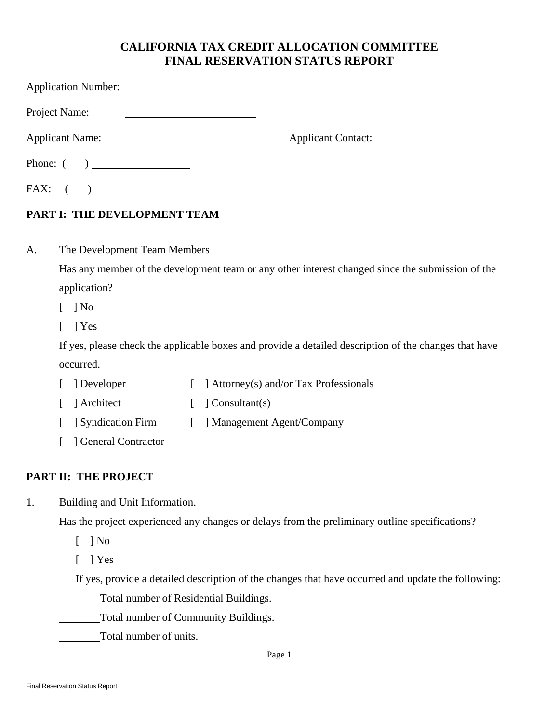### **CALIFORNIA TAX CREDIT ALLOCATION COMMITTEE FINAL RESERVATION STATUS REPORT**

|    | Project Name:                       |                                                                                                                     |                                        |                                                                                                       |
|----|-------------------------------------|---------------------------------------------------------------------------------------------------------------------|----------------------------------------|-------------------------------------------------------------------------------------------------------|
|    | <b>Applicant Name:</b>              | <u> 1990 - John Harry Harry Harry Harry Harry Harry Harry Harry Harry Harry Harry Harry Harry Harry Harry Harry</u> | <b>Applicant Contact:</b>              |                                                                                                       |
|    |                                     |                                                                                                                     |                                        |                                                                                                       |
|    | $FAX: ( ) \underline{\hspace{1cm}}$ |                                                                                                                     |                                        |                                                                                                       |
|    | PART I: THE DEVELOPMENT TEAM        |                                                                                                                     |                                        |                                                                                                       |
| A. | The Development Team Members        |                                                                                                                     |                                        |                                                                                                       |
|    |                                     |                                                                                                                     |                                        | Has any member of the development team or any other interest changed since the submission of the      |
|    | application?                        |                                                                                                                     |                                        |                                                                                                       |
|    | $\log$ No                           |                                                                                                                     |                                        |                                                                                                       |
|    | $\vert$ Yes                         |                                                                                                                     |                                        |                                                                                                       |
|    |                                     |                                                                                                                     |                                        | If yes, please check the applicable boxes and provide a detailed description of the changes that have |
|    | occurred.                           |                                                                                                                     |                                        |                                                                                                       |
|    | ] Developer                         |                                                                                                                     | ] Attorney(s) and/or Tax Professionals |                                                                                                       |
|    | Architect                           | ] Consultant(s)                                                                                                     |                                        |                                                                                                       |

- [ ] Syndication Firm [ ] Management Agent/Company
- [ ] General Contractor

#### **PART II: THE PROJECT**

1. Building and Unit Information.

Has the project experienced any changes or delays from the preliminary outline specifications?

- [ ] No
- [ ] Yes

If yes, provide a detailed description of the changes that have occurred and update the following:

Total number of Residential Buildings.

Total number of Community Buildings.

Total number of units.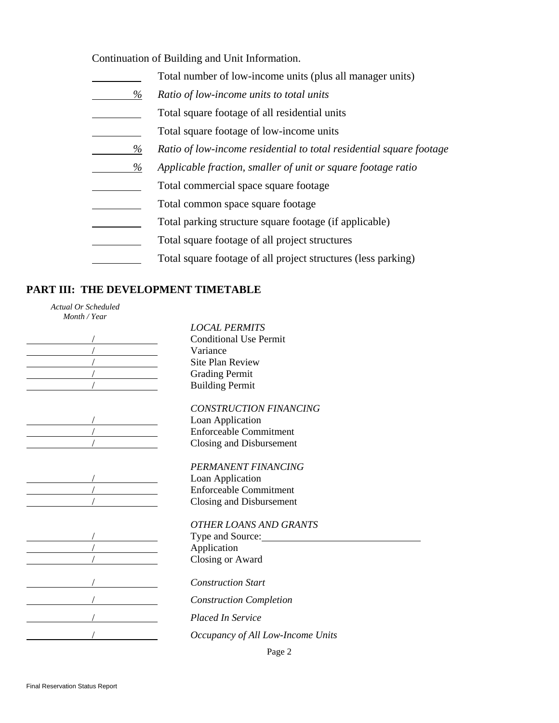Continuation of Building and Unit Information.

|      | Total number of low-income units (plus all manager units)           |
|------|---------------------------------------------------------------------|
| $\%$ | Ratio of low-income units to total units                            |
|      | Total square footage of all residential units                       |
|      | Total square footage of low-income units                            |
| %    | Ratio of low-income residential to total residential square footage |
| %    | Applicable fraction, smaller of unit or square footage ratio        |
|      | Total commercial space square footage                               |
|      | Total common space square footage                                   |
|      | Total parking structure square footage (if applicable)              |
|      | Total square footage of all project structures                      |
|      | Total square footage of all project structures (less parking)       |

#### **PART III: THE DEVELOPMENT TIMETABLE**

*Actual Or Scheduled Month / Year* 

| $\begin{array}{c c}\n\hline\n\end{array}$ |
|-------------------------------------------|
|                                           |
|                                           |
|                                           |
|                                           |
|                                           |
|                                           |
|                                           |
|                                           |
|                                           |
|                                           |
|                                           |
|                                           |
|                                           |
|                                           |
|                                           |
| $\overline{1}$                            |
| $\overline{a}$                            |
|                                           |
| $\frac{1}{2}$                             |

*LOCAL PERMITS* **Conditional Use Permit** variance Site Plan Review **Crading Permit EXECUTE:** Building Permit

*CONSTRUCTION FINANCING*

Loan Application / Enforceable Commitment / Closing and Disbursement

*PERMANENT FINANCING*

Loan Application  $\overline{\phantom{a}}$  Enforceable Commitment / Closing and Disbursement

*OTHER LOANS AND GRANTS*

Type and Source: <sub>-</sub> Application / Closing or Award

/ *Construction Start* 

/ *Construction Completion* 

/ *Placed In Service* 

/ *Occupancy of All Low-Income Units*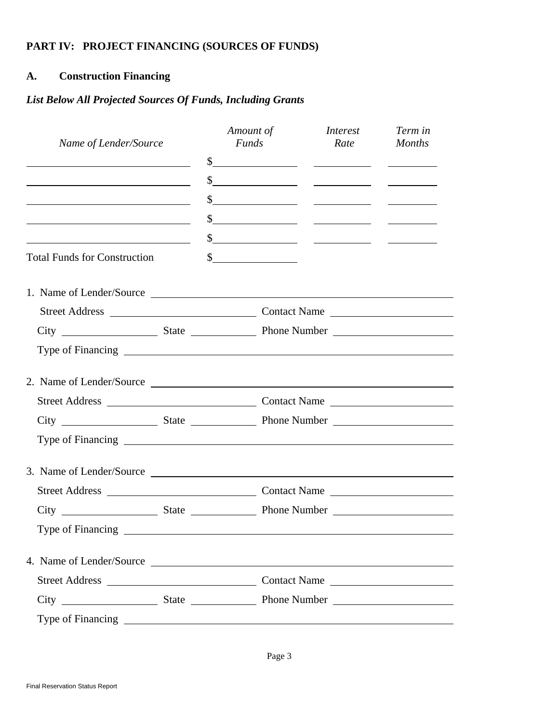### **PART IV: PROJECT FINANCING (SOURCES OF FUNDS)**

### **A. Construction Financing**

### *List Below All Projected Sources Of Funds, Including Grants*

| Name of Lender/Source                                                                                                 |  | Amount of<br><b>Funds</b> |                                                                                                                                                                                                                                                                                                                                                     | <i>Interest</i><br>Rate Months                                                                                                                                                                                                                                                                                                                                                                          | Term in |
|-----------------------------------------------------------------------------------------------------------------------|--|---------------------------|-----------------------------------------------------------------------------------------------------------------------------------------------------------------------------------------------------------------------------------------------------------------------------------------------------------------------------------------------------|---------------------------------------------------------------------------------------------------------------------------------------------------------------------------------------------------------------------------------------------------------------------------------------------------------------------------------------------------------------------------------------------------------|---------|
| <u> 1989 - Johann Barn, mars ann an t-Amhain Aonaich an t-Aonaich an t-Aonaich ann an t-Aonaich ann an t-Aonaich</u>  |  |                           |                                                                                                                                                                                                                                                                                                                                                     |                                                                                                                                                                                                                                                                                                                                                                                                         |         |
|                                                                                                                       |  |                           |                                                                                                                                                                                                                                                                                                                                                     | $\frac{\frac{1}{2} + \frac{1}{2} + \frac{1}{2}}{\frac{1}{2} + \frac{1}{2} + \frac{1}{2} + \frac{1}{2} + \frac{1}{2} + \frac{1}{2} + \frac{1}{2} + \frac{1}{2} + \frac{1}{2} + \frac{1}{2} + \frac{1}{2} + \frac{1}{2} + \frac{1}{2} + \frac{1}{2} + \frac{1}{2} + \frac{1}{2} + \frac{1}{2} + \frac{1}{2} + \frac{1}{2} + \frac{1}{2} + \frac{1}{2} + \frac{1}{2} + \frac{1}{2} + \frac{1}{2} + \frac{$ |         |
| <u> 1989 - Johann Barnett, fransk politik (f. 1989)</u>                                                               |  |                           |                                                                                                                                                                                                                                                                                                                                                     | $\frac{1}{2}$ $\frac{1}{2}$ $\frac{1}{2}$ $\frac{1}{2}$ $\frac{1}{2}$ $\frac{1}{2}$ $\frac{1}{2}$ $\frac{1}{2}$ $\frac{1}{2}$ $\frac{1}{2}$ $\frac{1}{2}$ $\frac{1}{2}$ $\frac{1}{2}$ $\frac{1}{2}$ $\frac{1}{2}$ $\frac{1}{2}$ $\frac{1}{2}$ $\frac{1}{2}$ $\frac{1}{2}$ $\frac{1}{2}$ $\frac{1}{2}$ $\frac{1}{2}$                                                                                     |         |
| <u> 1989 - Johann Barbara, martin amerikan basar dan basa dan basa dalam basa dalam basa dalam basa dalam basa da</u> |  |                           |                                                                                                                                                                                                                                                                                                                                                     | $\frac{\text{S}}{\text{S}}$ and $\frac{\text{S}}{\text{S}}$ and $\frac{\text{S}}{\text{S}}$ and $\frac{\text{S}}{\text{S}}$ and $\frac{\text{S}}{\text{S}}$ and $\frac{\text{S}}{\text{S}}$ and $\frac{\text{S}}{\text{S}}$ and $\frac{\text{S}}{\text{S}}$ and $\frac{\text{S}}{\text{S}}$ and $\frac{\text{S}}{\text{S}}$ and $\frac{\text{S}}{\text{S}}$ and $\frac{\text{S}}{\text{S$               |         |
| <u> 1980 - Johann Barn, mars eta biztanleria (</u>                                                                    |  |                           |                                                                                                                                                                                                                                                                                                                                                     | $\frac{\text{S}}{\text{S}}$ and $\frac{\text{S}}{\text{S}}$ and $\frac{\text{S}}{\text{S}}$ and $\frac{\text{S}}{\text{S}}$ and $\frac{\text{S}}{\text{S}}$ and $\frac{\text{S}}{\text{S}}$ and $\frac{\text{S}}{\text{S}}$ and $\frac{\text{S}}{\text{S}}$ and $\frac{\text{S}}{\text{S}}$ and $\frac{\text{S}}{\text{S}}$ and $\frac{\text{S}}{\text{S}}$ and $\frac{\text{S}}{\text{S$               |         |
| <b>Total Funds for Construction</b>                                                                                   |  |                           | $\begin{picture}(20,10) \put(0,0){\line(1,0){10}} \put(15,0){\line(1,0){10}} \put(15,0){\line(1,0){10}} \put(15,0){\line(1,0){10}} \put(15,0){\line(1,0){10}} \put(15,0){\line(1,0){10}} \put(15,0){\line(1,0){10}} \put(15,0){\line(1,0){10}} \put(15,0){\line(1,0){10}} \put(15,0){\line(1,0){10}} \put(15,0){\line(1,0){10}} \put(15,0){\line(1$ |                                                                                                                                                                                                                                                                                                                                                                                                         |         |
|                                                                                                                       |  |                           |                                                                                                                                                                                                                                                                                                                                                     |                                                                                                                                                                                                                                                                                                                                                                                                         |         |
|                                                                                                                       |  |                           |                                                                                                                                                                                                                                                                                                                                                     |                                                                                                                                                                                                                                                                                                                                                                                                         |         |
|                                                                                                                       |  |                           |                                                                                                                                                                                                                                                                                                                                                     |                                                                                                                                                                                                                                                                                                                                                                                                         |         |
|                                                                                                                       |  |                           |                                                                                                                                                                                                                                                                                                                                                     |                                                                                                                                                                                                                                                                                                                                                                                                         |         |
|                                                                                                                       |  |                           |                                                                                                                                                                                                                                                                                                                                                     |                                                                                                                                                                                                                                                                                                                                                                                                         |         |
|                                                                                                                       |  |                           |                                                                                                                                                                                                                                                                                                                                                     |                                                                                                                                                                                                                                                                                                                                                                                                         |         |
|                                                                                                                       |  |                           |                                                                                                                                                                                                                                                                                                                                                     |                                                                                                                                                                                                                                                                                                                                                                                                         |         |
|                                                                                                                       |  |                           |                                                                                                                                                                                                                                                                                                                                                     |                                                                                                                                                                                                                                                                                                                                                                                                         |         |
| 3. Name of Lender/Source                                                                                              |  |                           |                                                                                                                                                                                                                                                                                                                                                     |                                                                                                                                                                                                                                                                                                                                                                                                         |         |
|                                                                                                                       |  |                           |                                                                                                                                                                                                                                                                                                                                                     |                                                                                                                                                                                                                                                                                                                                                                                                         |         |
|                                                                                                                       |  |                           |                                                                                                                                                                                                                                                                                                                                                     |                                                                                                                                                                                                                                                                                                                                                                                                         |         |
|                                                                                                                       |  |                           |                                                                                                                                                                                                                                                                                                                                                     |                                                                                                                                                                                                                                                                                                                                                                                                         |         |
| 4. Name of Lender/Source                                                                                              |  |                           |                                                                                                                                                                                                                                                                                                                                                     |                                                                                                                                                                                                                                                                                                                                                                                                         |         |
|                                                                                                                       |  |                           |                                                                                                                                                                                                                                                                                                                                                     |                                                                                                                                                                                                                                                                                                                                                                                                         |         |
|                                                                                                                       |  |                           |                                                                                                                                                                                                                                                                                                                                                     |                                                                                                                                                                                                                                                                                                                                                                                                         |         |
|                                                                                                                       |  |                           |                                                                                                                                                                                                                                                                                                                                                     |                                                                                                                                                                                                                                                                                                                                                                                                         |         |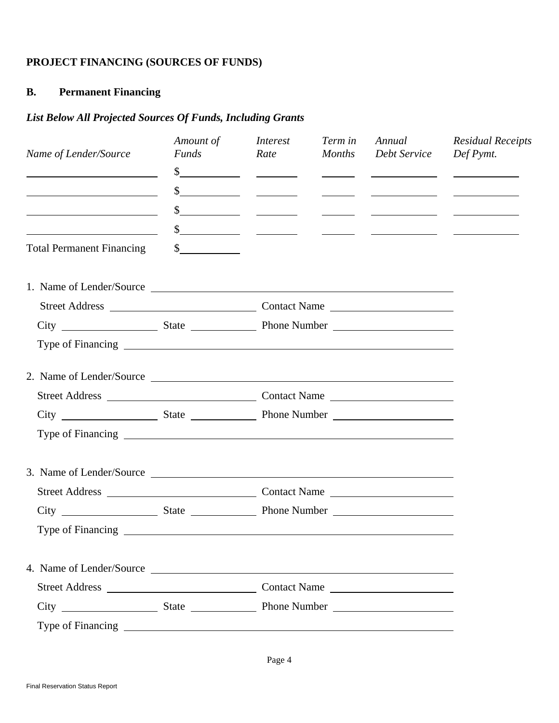# **PROJECT FINANCING (SOURCES OF FUNDS)**

# **B. Permanent Financing**

# *List Below All Projected Sources Of Funds, Including Grants*

| Name of Lender/Source                   | Amount of<br><b>Funds</b>   | <i>Interest</i><br>Rate | Term in<br><b>Months</b> | Annual<br>Debt Service                                                                                                                                                                                                                                                                                              | <b>Residual Receipts</b><br>Def Pymt.                                                                                                                                                                                                                                                                               |
|-----------------------------------------|-----------------------------|-------------------------|--------------------------|---------------------------------------------------------------------------------------------------------------------------------------------------------------------------------------------------------------------------------------------------------------------------------------------------------------------|---------------------------------------------------------------------------------------------------------------------------------------------------------------------------------------------------------------------------------------------------------------------------------------------------------------------|
|                                         |                             |                         |                          |                                                                                                                                                                                                                                                                                                                     | $\frac{1}{2}$ $\frac{1}{2}$ $\frac{1}{2}$ $\frac{1}{2}$ $\frac{1}{2}$ $\frac{1}{2}$ $\frac{1}{2}$ $\frac{1}{2}$ $\frac{1}{2}$ $\frac{1}{2}$ $\frac{1}{2}$ $\frac{1}{2}$ $\frac{1}{2}$ $\frac{1}{2}$ $\frac{1}{2}$ $\frac{1}{2}$ $\frac{1}{2}$ $\frac{1}{2}$ $\frac{1}{2}$ $\frac{1}{2}$ $\frac{1}{2}$ $\frac{1}{2}$ |
| <u> 1990 - Johann Barbara, martin a</u> |                             |                         |                          |                                                                                                                                                                                                                                                                                                                     | $\frac{1}{2}$                                                                                                                                                                                                                                                                                                       |
|                                         |                             |                         |                          | $\frac{1}{2}$ $\frac{1}{2}$ $\frac{1}{2}$ $\frac{1}{2}$ $\frac{1}{2}$ $\frac{1}{2}$ $\frac{1}{2}$ $\frac{1}{2}$ $\frac{1}{2}$ $\frac{1}{2}$ $\frac{1}{2}$ $\frac{1}{2}$ $\frac{1}{2}$ $\frac{1}{2}$ $\frac{1}{2}$ $\frac{1}{2}$ $\frac{1}{2}$ $\frac{1}{2}$ $\frac{1}{2}$ $\frac{1}{2}$ $\frac{1}{2}$ $\frac{1}{2}$ |                                                                                                                                                                                                                                                                                                                     |
|                                         |                             |                         |                          | $\frac{1}{2}$ $\frac{1}{2}$ $\frac{1}{2}$ $\frac{1}{2}$ $\frac{1}{2}$ $\frac{1}{2}$ $\frac{1}{2}$ $\frac{1}{2}$ $\frac{1}{2}$ $\frac{1}{2}$ $\frac{1}{2}$ $\frac{1}{2}$ $\frac{1}{2}$ $\frac{1}{2}$ $\frac{1}{2}$ $\frac{1}{2}$ $\frac{1}{2}$ $\frac{1}{2}$ $\frac{1}{2}$ $\frac{1}{2}$ $\frac{1}{2}$ $\frac{1}{2}$ |                                                                                                                                                                                                                                                                                                                     |
| <b>Total Permanent Financing</b>        | $\frac{\text{S}}{\text{S}}$ |                         |                          |                                                                                                                                                                                                                                                                                                                     |                                                                                                                                                                                                                                                                                                                     |
| 1. Name of Lender/Source                |                             |                         |                          |                                                                                                                                                                                                                                                                                                                     |                                                                                                                                                                                                                                                                                                                     |
|                                         |                             |                         |                          |                                                                                                                                                                                                                                                                                                                     |                                                                                                                                                                                                                                                                                                                     |
|                                         |                             |                         |                          |                                                                                                                                                                                                                                                                                                                     |                                                                                                                                                                                                                                                                                                                     |
|                                         |                             |                         |                          |                                                                                                                                                                                                                                                                                                                     |                                                                                                                                                                                                                                                                                                                     |
| 2. Name of Lender/Source                |                             |                         |                          |                                                                                                                                                                                                                                                                                                                     |                                                                                                                                                                                                                                                                                                                     |
|                                         |                             |                         |                          |                                                                                                                                                                                                                                                                                                                     |                                                                                                                                                                                                                                                                                                                     |
|                                         |                             |                         |                          |                                                                                                                                                                                                                                                                                                                     |                                                                                                                                                                                                                                                                                                                     |
|                                         |                             |                         |                          |                                                                                                                                                                                                                                                                                                                     |                                                                                                                                                                                                                                                                                                                     |
|                                         |                             |                         |                          |                                                                                                                                                                                                                                                                                                                     |                                                                                                                                                                                                                                                                                                                     |
|                                         |                             |                         |                          |                                                                                                                                                                                                                                                                                                                     |                                                                                                                                                                                                                                                                                                                     |
|                                         |                             |                         |                          |                                                                                                                                                                                                                                                                                                                     |                                                                                                                                                                                                                                                                                                                     |
|                                         |                             |                         |                          |                                                                                                                                                                                                                                                                                                                     |                                                                                                                                                                                                                                                                                                                     |
|                                         |                             |                         |                          |                                                                                                                                                                                                                                                                                                                     |                                                                                                                                                                                                                                                                                                                     |
|                                         |                             |                         |                          |                                                                                                                                                                                                                                                                                                                     |                                                                                                                                                                                                                                                                                                                     |
|                                         |                             |                         |                          |                                                                                                                                                                                                                                                                                                                     |                                                                                                                                                                                                                                                                                                                     |
|                                         |                             |                         |                          |                                                                                                                                                                                                                                                                                                                     |                                                                                                                                                                                                                                                                                                                     |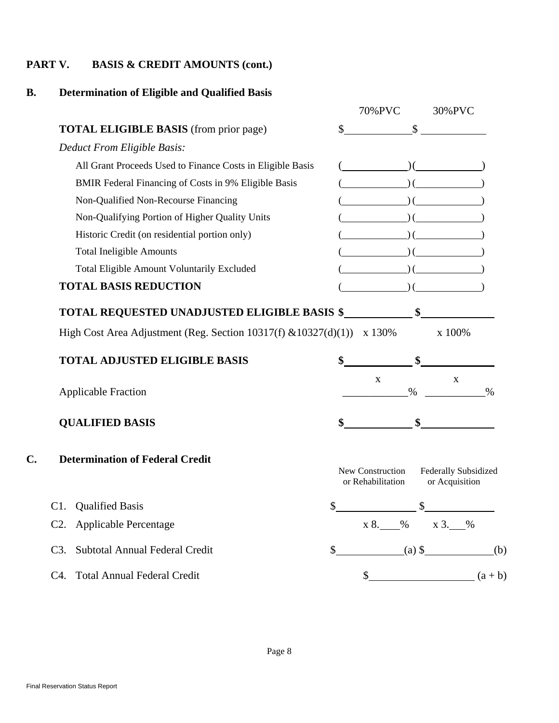### **PART V. BASIS & CREDIT AMOUNTS (cont.)**

# **B. Determination of Eligible and Qualified Basis**

|     |                                                                 | 70%PVC                                | 30%PVC                                 |      |
|-----|-----------------------------------------------------------------|---------------------------------------|----------------------------------------|------|
|     | <b>TOTAL ELIGIBLE BASIS</b> (from prior page)                   | \$<br>\$                              |                                        |      |
|     | Deduct From Eligible Basis:                                     |                                       |                                        |      |
|     | All Grant Proceeds Used to Finance Costs in Eligible Basis      |                                       |                                        |      |
|     | BMIR Federal Financing of Costs in 9% Eligible Basis            |                                       |                                        |      |
|     | Non-Qualified Non-Recourse Financing                            |                                       |                                        |      |
|     | Non-Qualifying Portion of Higher Quality Units                  |                                       |                                        |      |
|     | Historic Credit (on residential portion only)                   |                                       |                                        |      |
|     | <b>Total Ineligible Amounts</b>                                 |                                       |                                        |      |
|     | Total Eligible Amount Voluntarily Excluded                      |                                       |                                        |      |
|     | <b>TOTAL BASIS REDUCTION</b>                                    |                                       |                                        |      |
|     | <b>TOTAL REQUESTED UNADJUSTED ELIGIBLE BASIS \$</b>             |                                       |                                        |      |
|     | High Cost Area Adjustment (Reg. Section 10317(f) & 10327(d)(1)) | x 130%                                | x 100%                                 |      |
|     | <b>TOTAL ADJUSTED ELIGIBLE BASIS</b>                            |                                       |                                        |      |
|     | <b>Applicable Fraction</b>                                      | $\mathbf X$<br>$\%$                   | $\mathbf X$                            | $\%$ |
|     | <b>QUALIFIED BASIS</b>                                          |                                       |                                        |      |
| C.  | <b>Determination of Federal Credit</b>                          | New Construction<br>or Rehabilitation | Federally Subsidized<br>or Acquisition |      |
| C1. | <b>Qualified Basis</b>                                          | \$                                    | $\mathbb{S}$                           |      |
|     | C2. Applicable Percentage                                       |                                       | x 8. 96 x 3. 96                        |      |
| C3. | Subtotal Annual Federal Credit                                  | \$                                    | (a) $\sqrt[6]{ }$ (b)                  |      |
| C4. | <b>Total Annual Federal Credit</b>                              |                                       | \$ (a+b)                               |      |
|     |                                                                 |                                       |                                        |      |